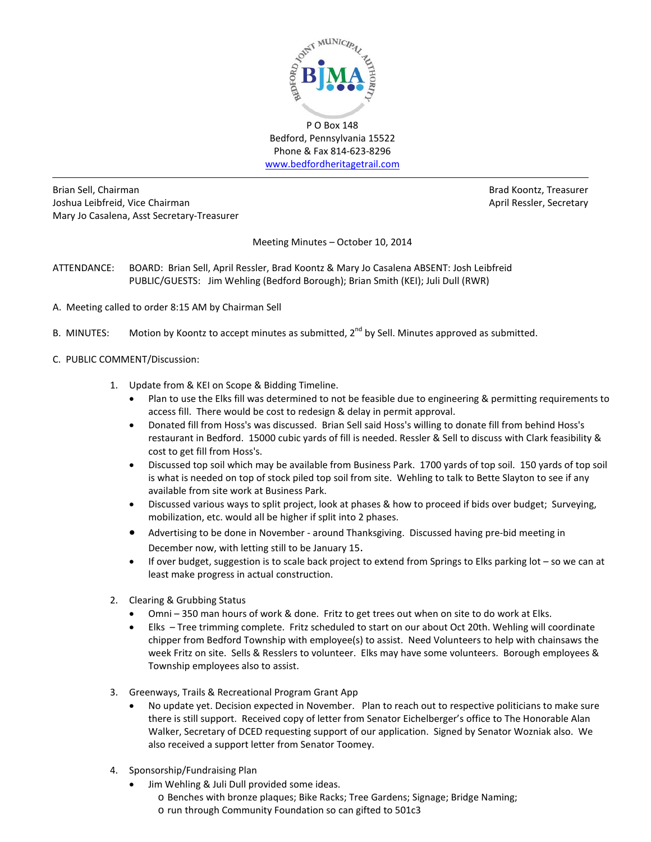

Bedford, Pennsylvania 15522 Phone & Fax 814-623-8296 [www.bedfordheritagetrail.com](http://www.bedfordheritagetrail.com/)

Brian Sell, Chairman Brad Koontz, Treasurer and Brad Koontz, Treasurer and Brad Koontz, Treasurer Joshua Leibfreid, Vice Chairman **April Ressler, Secretary** April Ressler, Secretary Mary Jo Casalena, Asst Secretary-Treasurer

Meeting Minutes – October 10, 2014

- ATTENDANCE: BOARD: Brian Sell, April Ressler, Brad Koontz & Mary Jo Casalena ABSENT: Josh Leibfreid PUBLIC/GUESTS: Jim Wehling (Bedford Borough); Brian Smith (KEI); Juli Dull (RWR)
- A. Meeting called to order 8:15 AM by Chairman Sell
- B. MINUTES: Motion by Koontz to accept minutes as submitted,  $2^{nd}$  by Sell. Minutes approved as submitted.
- C. PUBLIC COMMENT/Discussion:
	- 1. Update from & KEI on Scope & Bidding Timeline.
		- Plan to use the Elks fill was determined to not be feasible due to engineering & permitting requirements to access fill. There would be cost to redesign & delay in permit approval.
		- Donated fill from Hoss's was discussed. Brian Sell said Hoss's willing to donate fill from behind Hoss's restaurant in Bedford. 15000 cubic yards of fill is needed. Ressler & Sell to discuss with Clark feasibility & cost to get fill from Hoss's.
		- Discussed top soil which may be available from Business Park. 1700 yards of top soil. 150 yards of top soil is what is needed on top of stock piled top soil from site. Wehling to talk to Bette Slayton to see if any available from site work at Business Park.
		- Discussed various ways to split project, look at phases & how to proceed if bids over budget; Surveying, mobilization, etc. would all be higher if split into 2 phases.
		- Advertising to be done in November around Thanksgiving. Discussed having pre-bid meeting in December now, with letting still to be January 15.
		- If over budget, suggestion is to scale back project to extend from Springs to Elks parking lot so we can at least make progress in actual construction.
	- 2. Clearing & Grubbing Status
		- Omni 350 man hours of work & done. Fritz to get trees out when on site to do work at Elks.
		- Elks Tree trimming complete. Fritz scheduled to start on our about Oct 20th. Wehling will coordinate chipper from Bedford Township with employee(s) to assist. Need Volunteers to help with chainsaws the week Fritz on site. Sells & Resslers to volunteer. Elks may have some volunteers. Borough employees & Township employees also to assist.
	- 3. Greenways, Trails & Recreational Program Grant App
		- No update yet. Decision expected in November. Plan to reach out to respective politicians to make sure there is still support. Received copy of letter from Senator Eichelberger's office to The Honorable Alan Walker, Secretary of DCED requesting support of our application. Signed by Senator Wozniak also. We also received a support letter from Senator Toomey.
	- 4. Sponsorship/Fundraising Plan
		- Jim Wehling & Juli Dull provided some ideas.
			- o Benches with bronze plaques; Bike Racks; Tree Gardens; Signage; Bridge Naming;
			- o run through Community Foundation so can gifted to 501c3